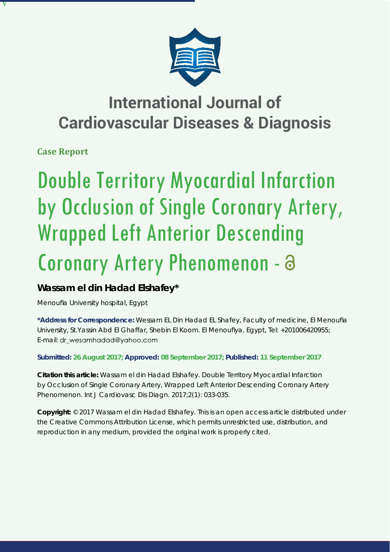

## **International Journal of Cardiovascular Diseases & Diagnosis**

**Case Report**

**V**

# Double Territory Myocardial Infarction by Occlusion of Single Coronary Artery, Wrapped Left Anterior Descending Coronary Artery Phenomenon -

### **Wassam el din Hadad Elshafey\***

*Menoufi a University hospital, Egypt*

\*Address for Correspondence: Wessam EL Din Hadad EL Shafey, Faculty of medicine, El Menoufia University, St.Yassin Abd El Ghaffar, Shebin El Koom. El Menoufiya. Egypt, Tel: +201006420955; E-mail: dr wesamhadad@yahoo.com

**Submitted: 26 August 2017; Approved: 08 September 2017; Published: 11 September 2017**

**Citation this article:** Wassam el din Hadad Elshafey. Double Territory Myocardial Infarction by Occlusion of Single Coronary Artery, Wrapped Left Anterior Descending Coronary Artery Phenomenon. Int J Cardiovasc Dis Diagn. 2017;2(1): 033-035.

**Copyright:** © 2017 Wassam el din Hadad Elshafey. This is an open access article distributed under the Creative Commons Attribution License, which permits unrestricted use, distribution, and reproduction in any medium, provided the original work is properly cited.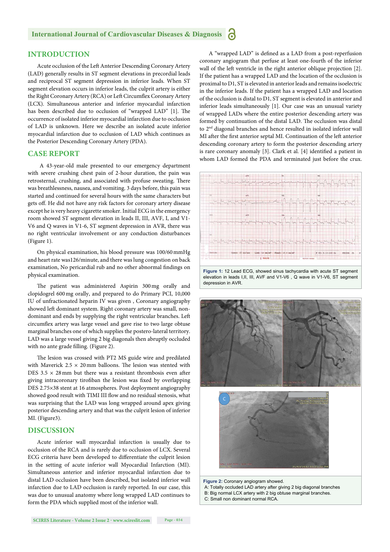#### **INTRODUCTION**

Acute occlusion of the Left Anterior Descending Coronary Artery (LAD) generally results in ST segment elevations in precordial leads and reciprocal ST segment depression in inferior leads. When ST segment elevation occurs in inferior leads, the culprit artery is either the Right Coronary Artery (RCA) or Left Circumflex Coronary Artery (LCX). Simultaneous anterior and inferior myocardial infarction has been described due to occlusion of "wrapped LAD" [1]. The occurrence of isolated inferior myocardial infarction due to occlusion of LAD is unknown. Here we describe an isolated acute inferior myocardial infarction due to occlusion of LAD which continues as the Posterior Descending Coronary Artery (PDA).

#### **CASE REPORT**

 A 43-year-old male presented to our emergency department with severe crushing chest pain of 2-hour duration, the pain was retrosternal, crushing, and associated with profuse sweating. There was breathlessness, nausea, and vomiting. 3 days before, this pain was started and continued for several hours with the same characters but gets off. He did not have any risk factors for coronary artery disease except he is very heavy cigarette smoker. Initial ECG in the emergency room showed ST segment elevation in leads II, III, AVF, I, and V1- V6 and Q waves in V1-6, ST segment depression in AVR, there was no right ventricular involvement or any conduction disturbances (Figure 1).

On physical examination, his blood pressure was 100/60 mmHg and heart rate was126/minute, and there was lung congestion on back examination, No pericardial rub and no other abnormal findings on physical examination.

The patient was administered Aspirin 300 mg orally and clopidogrel 600 mg orally, and prepared to do Primary PCI, 10,000 IU of unfractionated heparin IV was given , Coronary angiography showed left dominant system. Right coronary artery was small, nondominant and ends by supplying the right ventricular branches. Left circumflex artery was large vessel and gave rise to two large obtuse marginal branches one of which supplies the postero-lateral territory. LAD was a large vessel giving 2 big diagonals then abruptly occluded with no ante grade filling. (Figure 2).

The lesion was crossed with PT2 MS guide wire and predilated with Maverick  $2.5 \times 20$  mm balloons. The lesion was stented with DES  $3.5 \times 28$  mm but there was a resistant thrombosis even after giving intracoronary tirofiban the lesion was fixed by overlapping DES 2.75×38 stent at 16 atmospheres. Post deployment angiography showed good result with TIMI III flow and no residual stenosis, what was surprising that the LAD was long wrapped around apex giving posterior descending artery and that was the culprit lesion of inferior MI. (Figure3).

#### **DISCUSSION**

Acute inferior wall myocardial infarction is usually due to occlusion of the RCA and is rarely due to occlusion of LCX. Several ECG criteria have been developed to differentiate the culprit lesion in the setting of acute inferior wall Myocardial Infarction (MI). Simultaneous anterior and inferior myocardial infarction due to distal LAD occlusion have been described, but isolated inferior wall infarction due to LAD occlusion is rarely reported. In our case, this was due to unusual anatomy where long wrapped LAD continues to form the PDA which supplied most of the inferior wall.

A "wrapped LAD" is defined as a LAD from a post-reperfusion coronary angiogram that perfuse at least one-fourth of the inferior wall of the left ventricle in the right anterior oblique projection [2]. If the patient has a wrapped LAD and the location of the occlusion is proximal to D1, ST is elevated in anterior leads and remains isoelectric in the inferior leads. If the patient has a wrapped LAD and location of the occlusion is distal to D1, ST segment is elevated in anterior and inferior leads simultaneously [1]. Our case was an unusual variety of wrapped LADs where the entire posterior descending artery was formed by continuation of the distal LAD. The occlusion was distal to 2nd diagonal branches and hence resulted in isolated inferior wall MI after the first anterior septal MI. Continuation of the left anterior descending coronary artery to form the posterior descending artery is rare coronary anomaly [3]. Clark et al. [4] identified a patient in whom LAD formed the PDA and terminated just before the crux.



elevation in leads I,II, III, AVF and V1-V6 , Q wave in V1-V6, ST segment depression in AVR.





**Figure 2:** Coronary angiogram showed. A: Totally occluded LAD artery after giving 2 big diagonal branches B: Big normal LCX artery with 2 big obtuse marginal branches. C: Small non dominant normal RCA.